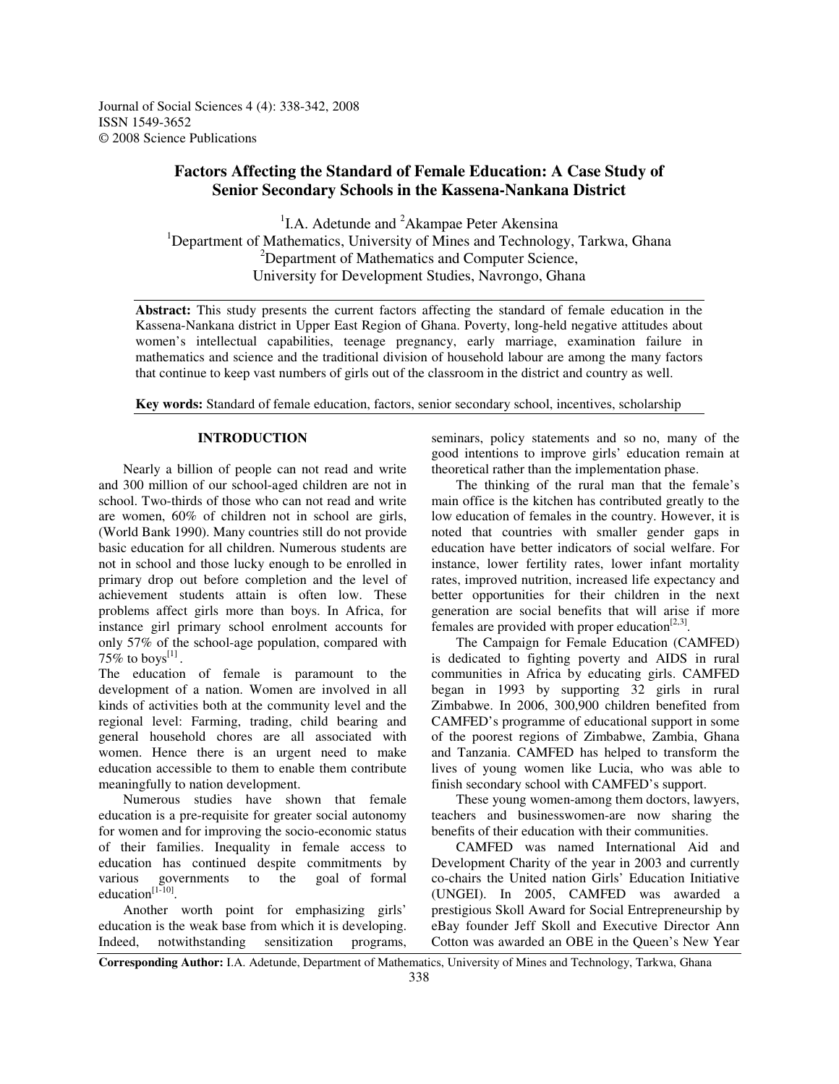Journal of Social Sciences 4 (4): 338-342, 2008 ISSN 1549-3652 © 2008 Science Publications

# **Factors Affecting the Standard of Female Education: A Case Study of Senior Secondary Schools in the Kassena-Nankana District**

<sup>1</sup>I.A. Adetunde and <sup>2</sup>Akampae Peter Akensina <sup>1</sup>Department of Mathematics, University of Mines and Technology, Tarkwa, Ghana <sup>2</sup>Department of Mathematics and Computer Science, University for Development Studies, Navrongo, Ghana

**Abstract:** This study presents the current factors affecting the standard of female education in the Kassena-Nankana district in Upper East Region of Ghana. Poverty, long-held negative attitudes about women's intellectual capabilities, teenage pregnancy, early marriage, examination failure in mathematics and science and the traditional division of household labour are among the many factors that continue to keep vast numbers of girls out of the classroom in the district and country as well.

**Key words:** Standard of female education, factors, senior secondary school, incentives, scholarship

# **INTRODUCTION**

Nearly a billion of people can not read and write and 300 million of our school-aged children are not in school. Two-thirds of those who can not read and write are women, 60% of children not in school are girls, (World Bank 1990). Many countries still do not provide basic education for all children. Numerous students are not in school and those lucky enough to be enrolled in primary drop out before completion and the level of achievement students attain is often low. These problems affect girls more than boys. In Africa, for instance girl primary school enrolment accounts for only 57% of the school-age population, compared with 75% to boys<sup>[1]</sup>.

The education of female is paramount to the development of a nation. Women are involved in all kinds of activities both at the community level and the regional level: Farming, trading, child bearing and general household chores are all associated with women. Hence there is an urgent need to make education accessible to them to enable them contribute meaningfully to nation development.

Numerous studies have shown that female education is a pre-requisite for greater social autonomy for women and for improving the socio-economic status of their families. Inequality in female access to education has continued despite commitments by various governments to the goal of formal education $^{[1-10]}$ .

Another worth point for emphasizing girls' education is the weak base from which it is developing. Indeed, notwithstanding sensitization programs, seminars, policy statements and so no, many of the good intentions to improve girls' education remain at theoretical rather than the implementation phase.

The thinking of the rural man that the female's main office is the kitchen has contributed greatly to the low education of females in the country. However, it is noted that countries with smaller gender gaps in education have better indicators of social welfare. For instance, lower fertility rates, lower infant mortality rates, improved nutrition, increased life expectancy and better opportunities for their children in the next generation are social benefits that will arise if more females are provided with proper education $[2,3]$ .

The Campaign for Female Education (CAMFED) is dedicated to fighting poverty and AIDS in rural communities in Africa by educating girls. CAMFED began in 1993 by supporting 32 girls in rural Zimbabwe. In 2006, 300,900 children benefited from CAMFED's programme of educational support in some of the poorest regions of Zimbabwe, Zambia, Ghana and Tanzania. CAMFED has helped to transform the lives of young women like Lucia, who was able to finish secondary school with CAMFED's support.

These young women-among them doctors, lawyers, teachers and businesswomen-are now sharing the benefits of their education with their communities.

CAMFED was named International Aid and Development Charity of the year in 2003 and currently co-chairs the United nation Girls' Education Initiative (UNGEI). In 2005, CAMFED was awarded a prestigious Skoll Award for Social Entrepreneurship by eBay founder Jeff Skoll and Executive Director Ann Cotton was awarded an OBE in the Queen's New Year

**Corresponding Author:** I.A. Adetunde, Department of Mathematics, University of Mines and Technology, Tarkwa, Ghana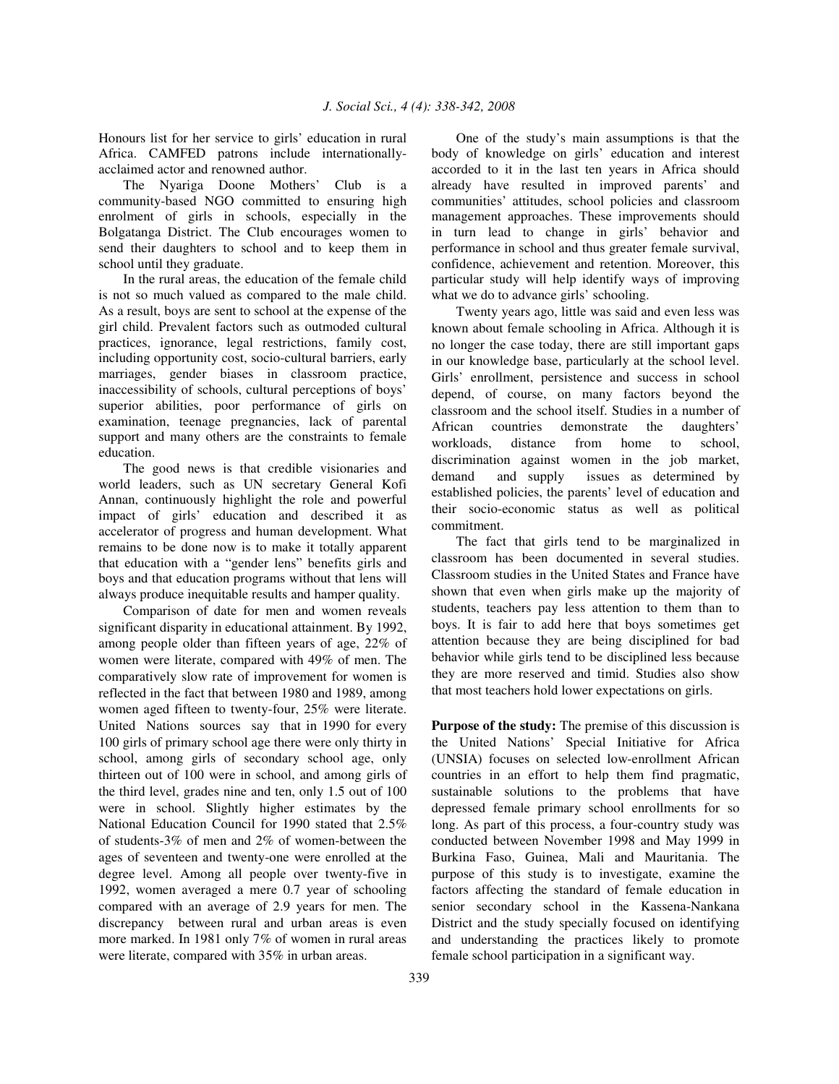Honours list for her service to girls' education in rural Africa. CAMFED patrons include internationallyacclaimed actor and renowned author.

The Nyariga Doone Mothers' Club is a community-based NGO committed to ensuring high enrolment of girls in schools, especially in the Bolgatanga District. The Club encourages women to send their daughters to school and to keep them in school until they graduate.

In the rural areas, the education of the female child is not so much valued as compared to the male child. As a result, boys are sent to school at the expense of the girl child. Prevalent factors such as outmoded cultural practices, ignorance, legal restrictions, family cost, including opportunity cost, socio-cultural barriers, early marriages, gender biases in classroom practice, inaccessibility of schools, cultural perceptions of boys' superior abilities, poor performance of girls on examination, teenage pregnancies, lack of parental support and many others are the constraints to female education.

The good news is that credible visionaries and world leaders, such as UN secretary General Kofi Annan, continuously highlight the role and powerful impact of girls' education and described it as accelerator of progress and human development. What remains to be done now is to make it totally apparent that education with a "gender lens" benefits girls and boys and that education programs without that lens will always produce inequitable results and hamper quality.

Comparison of date for men and women reveals significant disparity in educational attainment. By 1992, among people older than fifteen years of age, 22% of women were literate, compared with 49% of men. The comparatively slow rate of improvement for women is reflected in the fact that between 1980 and 1989, among women aged fifteen to twenty-four, 25% were literate. United Nations sources say that in 1990 for every 100 girls of primary school age there were only thirty in school, among girls of secondary school age, only thirteen out of 100 were in school, and among girls of the third level, grades nine and ten, only 1.5 out of 100 were in school. Slightly higher estimates by the National Education Council for 1990 stated that 2.5% of students-3% of men and 2% of women-between the ages of seventeen and twenty-one were enrolled at the degree level. Among all people over twenty-five in 1992, women averaged a mere 0.7 year of schooling compared with an average of 2.9 years for men. The discrepancy between rural and urban areas is even more marked. In 1981 only 7% of women in rural areas were literate, compared with 35% in urban areas.

One of the study's main assumptions is that the body of knowledge on girls' education and interest accorded to it in the last ten years in Africa should already have resulted in improved parents' and communities' attitudes, school policies and classroom management approaches. These improvements should in turn lead to change in girls' behavior and performance in school and thus greater female survival, confidence, achievement and retention. Moreover, this particular study will help identify ways of improving what we do to advance girls' schooling.

Twenty years ago, little was said and even less was known about female schooling in Africa. Although it is no longer the case today, there are still important gaps in our knowledge base, particularly at the school level. Girls' enrollment, persistence and success in school depend, of course, on many factors beyond the classroom and the school itself. Studies in a number of African countries demonstrate the daughters' workloads, distance from home to school, discrimination against women in the job market, demand and supply issues as determined by established policies, the parents' level of education and their socio-economic status as well as political commitment.

The fact that girls tend to be marginalized in classroom has been documented in several studies. Classroom studies in the United States and France have shown that even when girls make up the majority of students, teachers pay less attention to them than to boys. It is fair to add here that boys sometimes get attention because they are being disciplined for bad behavior while girls tend to be disciplined less because they are more reserved and timid. Studies also show that most teachers hold lower expectations on girls.

**Purpose of the study:** The premise of this discussion is the United Nations' Special Initiative for Africa (UNSIA) focuses on selected low-enrollment African countries in an effort to help them find pragmatic, sustainable solutions to the problems that have depressed female primary school enrollments for so long. As part of this process, a four-country study was conducted between November 1998 and May 1999 in Burkina Faso, Guinea, Mali and Mauritania. The purpose of this study is to investigate, examine the factors affecting the standard of female education in senior secondary school in the Kassena-Nankana District and the study specially focused on identifying and understanding the practices likely to promote female school participation in a significant way.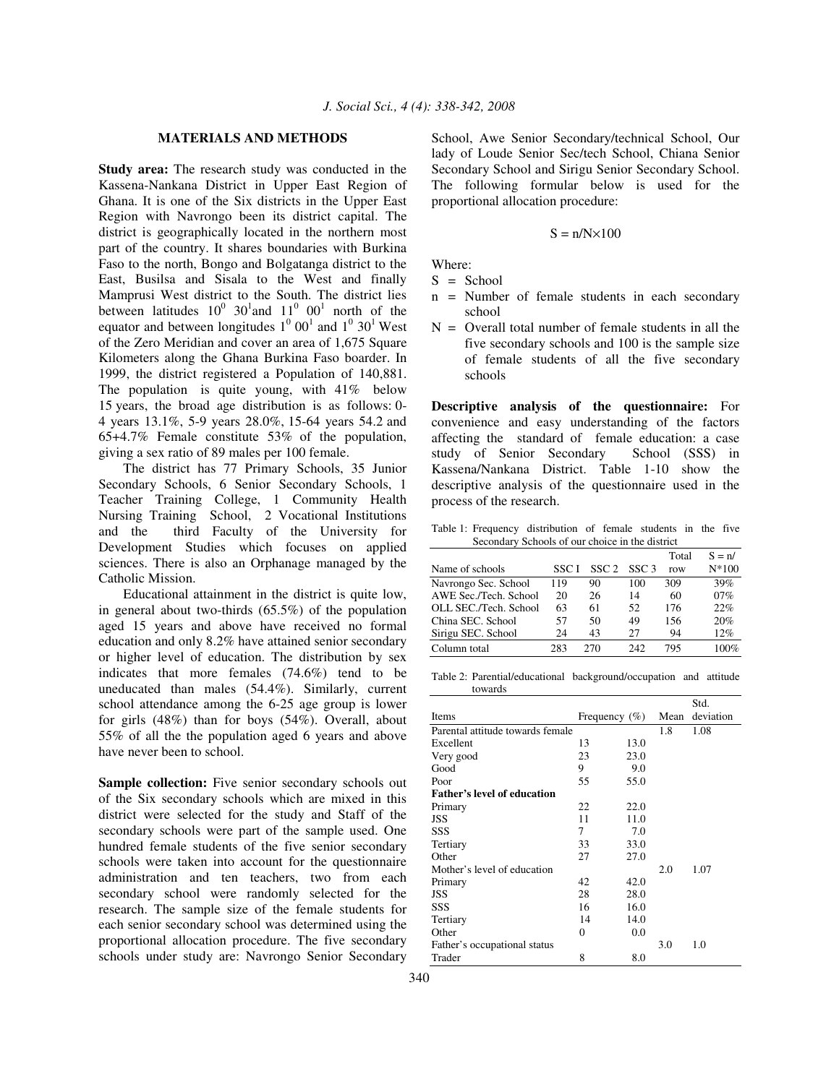## **MATERIALS AND METHODS**

**Study area:** The research study was conducted in the Kassena-Nankana District in Upper East Region of Ghana. It is one of the Six districts in the Upper East Region with Navrongo been its district capital. The district is geographically located in the northern most part of the country. It shares boundaries with Burkina Faso to the north, Bongo and Bolgatanga district to the East, Busilsa and Sisala to the West and finally Mamprusi West district to the South. The district lies between latitudes  $10^0$  30<sup>1</sup> and  $11^0$  00<sup>1</sup> north of the equator and between longitudes  $1^0$  00<sup>1</sup> and  $1^0$  30<sup>1</sup> West of the Zero Meridian and cover an area of 1,675 Square Kilometers along the Ghana Burkina Faso boarder. In 1999, the district registered a Population of 140,881. The population is quite young, with 41% below 15 years, the broad age distribution is as follows: 0- 4 years 13.1%, 5-9 years 28.0%, 15-64 years 54.2 and 65+4.7% Female constitute 53% of the population, giving a sex ratio of 89 males per 100 female.

The district has 77 Primary Schools, 35 Junior Secondary Schools, 6 Senior Secondary Schools, 1 Teacher Training College, 1 Community Health Nursing Training School, 2 Vocational Institutions and the third Faculty of the University for Development Studies which focuses on applied sciences. There is also an Orphanage managed by the Catholic Mission.

Educational attainment in the district is quite low, in general about two-thirds (65.5%) of the population aged 15 years and above have received no formal education and only 8.2% have attained senior secondary or higher level of education. The distribution by sex indicates that more females (74.6%) tend to be uneducated than males (54.4%). Similarly, current school attendance among the 6-25 age group is lower for girls (48%) than for boys (54%). Overall, about 55% of all the the population aged 6 years and above have never been to school.

**Sample collection:** Five senior secondary schools out of the Six secondary schools which are mixed in this district were selected for the study and Staff of the secondary schools were part of the sample used. One hundred female students of the five senior secondary schools were taken into account for the questionnaire administration and ten teachers, two from each secondary school were randomly selected for the research. The sample size of the female students for each senior secondary school was determined using the proportional allocation procedure. The five secondary schools under study are: Navrongo Senior Secondary

School, Awe Senior Secondary/technical School, Our lady of Loude Senior Sec/tech School, Chiana Senior Secondary School and Sirigu Senior Secondary School. The following formular below is used for the proportional allocation procedure:

$$
S = n/N \times 100
$$

Where:

- $S =$  School
- n = Number of female students in each secondary school
- $N =$  Overall total number of female students in all the five secondary schools and 100 is the sample size of female students of all the five secondary schools

**Descriptive analysis of the questionnaire:** For convenience and easy understanding of the factors affecting the standard of female education: a case study of Senior Secondary School (SSS) in Kassena/Nankana District. Table 1-10 show the descriptive analysis of the questionnaire used in the process of the research.

Table 1: Frequency distribution of female students in the five Secondary Schools of our choice in the district

|                       |       |                  |                  | Total | $S = n/$        |
|-----------------------|-------|------------------|------------------|-------|-----------------|
| Name of schools       | SSC I | SSC <sub>2</sub> | SSC <sub>3</sub> | row   | $N*100$         |
| Navrongo Sec. School  | 119   | 90               | 100              | 309   | 39%             |
| AWE Sec./Tech. School | 20    | 26               | 14               | 60    | 07%             |
| OLL SEC./Tech. School | 63    | 61               | 52.              | 176   | 22%             |
| China SEC. School     | 57    | 50               | 49               | 156   | 20%             |
| Sirigu SEC. School    | 24    | 43               | 27               | 94    | 12%             |
| Column total          | 283   | 270              | 242              | 795   | 00 <sup>%</sup> |

Table 2: Parential/educational background/occupation and attitude towards

|                                    |                   |      |      | Std.      |
|------------------------------------|-------------------|------|------|-----------|
| Items                              | Frequency $(\% )$ |      | Mean | deviation |
| Parental attitude towards female   |                   |      | 1.8  | 1.08      |
| Excellent                          | 13                | 13.0 |      |           |
| Very good                          | 23                | 23.0 |      |           |
| Good                               | 9                 | 9.0  |      |           |
| Poor                               | 55                | 55.0 |      |           |
| <b>Father's level of education</b> |                   |      |      |           |
| Primary                            | 22                | 22.0 |      |           |
| <b>JSS</b>                         | 11                | 11.0 |      |           |
| SSS                                | 7                 | 7.0  |      |           |
| Tertiary                           | 33                | 33.0 |      |           |
| Other                              | 27                | 27.0 |      |           |
| Mother's level of education        |                   |      | 2.0  | 1.07      |
| Primary                            | 42                | 42.0 |      |           |
| <b>JSS</b>                         | 28                | 28.0 |      |           |
| SSS                                | 16                | 16.0 |      |           |
| Tertiary                           | 14                | 14.0 |      |           |
| Other                              | $\theta$          | 0.0  |      |           |
| Father's occupational status       |                   |      | 3.0  | 1.0       |
| Trader                             | 8                 | 8.0  |      |           |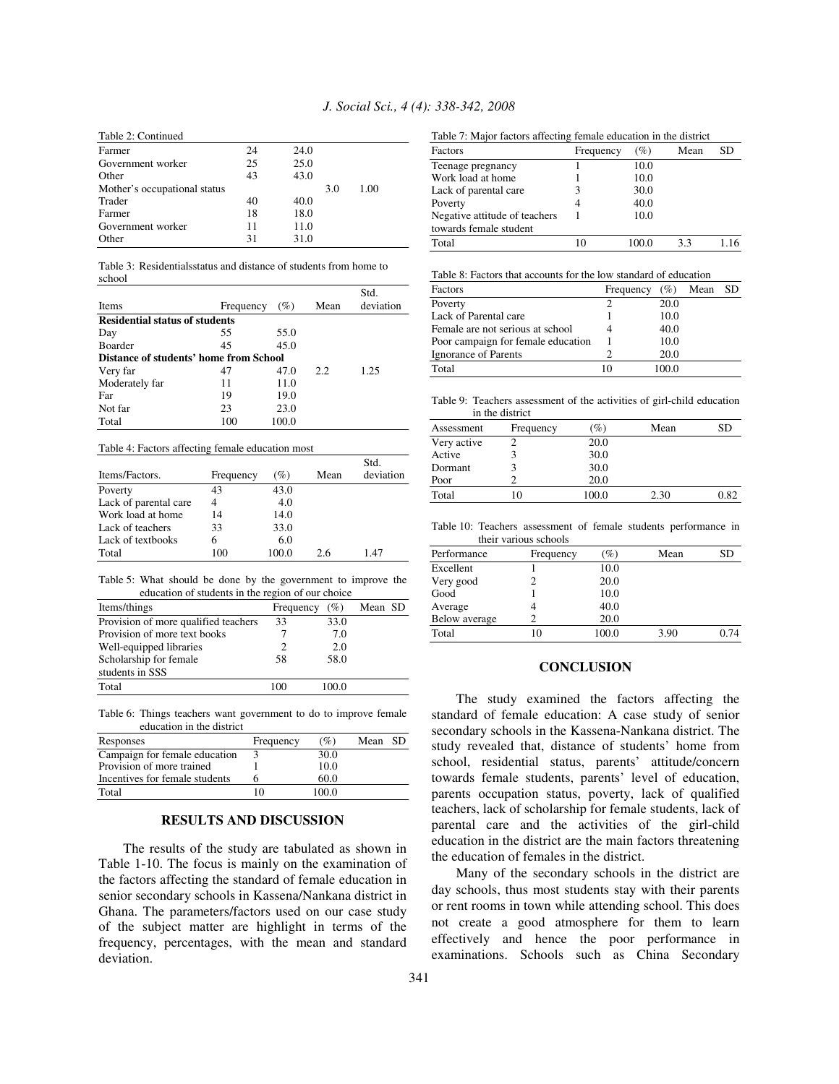| Table 2: Continued           |    |      |     |      |
|------------------------------|----|------|-----|------|
| Farmer                       | 24 | 24.0 |     |      |
| Government worker            | 25 | 25.0 |     |      |
| Other                        | 43 | 43.0 |     |      |
| Mother's occupational status |    |      | 3.0 | 1.00 |
| Trader                       | 40 | 40.0 |     |      |
| Farmer                       | 18 | 18.0 |     |      |
| Government worker            | 11 | 11.0 |     |      |
| Other                        | 31 | 31.0 |     |      |

Table 3: Residentialsstatus and distance of students from home to school

| <b>Items</b>                           | Frequency | (%)   | Mean | Std.<br>deviation |
|----------------------------------------|-----------|-------|------|-------------------|
| <b>Residential status of students</b>  |           |       |      |                   |
| Day                                    | 55        | 55.0  |      |                   |
| <b>Boarder</b>                         | 45        | 45.0  |      |                   |
| Distance of students' home from School |           |       |      |                   |
| Very far                               | 47        | 47.0  | 2.2  | 1.25              |
| Moderately far                         | 11        | 11.0  |      |                   |
| Far                                    | 19        | 19.0  |      |                   |
| Not far                                | 23        | 23.0  |      |                   |
| Total                                  | 100       | 100.0 |      |                   |

#### Table 4: Factors affecting female education most

|                       |           |       |      | Std.      |
|-----------------------|-----------|-------|------|-----------|
| Items/Factors.        | Frequency | (%)   | Mean | deviation |
| Poverty               | 43        | 43.0  |      |           |
| Lack of parental care | 4         | 4.0   |      |           |
| Work load at home     | 14        | 14.0  |      |           |
| Lack of teachers      | 33        | 33.0  |      |           |
| Lack of textbooks     | 6         | 6.0   |      |           |
| Total                 | 100       | 100.0 | 26   | 147       |

Table 5: What should be done by the government to improve the education of students in the region of our choice

| Items/things                         | Frequency $(\% )$ |       | Mean SD |  |
|--------------------------------------|-------------------|-------|---------|--|
| Provision of more qualified teachers | 33                | 33.0  |         |  |
| Provision of more text books         |                   | 7.0   |         |  |
| Well-equipped libraries              |                   | 2.0   |         |  |
| Scholarship for female               | 58                | 58.0  |         |  |
| students in SSS                      |                   |       |         |  |
| Total                                | 100               | 100.0 |         |  |

Table 6: Things teachers want government to do to improve female education in the district

| Responses                      | Frequency | (%)   | Mean | -SD |
|--------------------------------|-----------|-------|------|-----|
| Campaign for female education  |           | 30.0  |      |     |
| Provision of more trained      |           | 10.0  |      |     |
| Incentives for female students |           | 60.0  |      |     |
| Total                          | 10        | 100.0 |      |     |

# **RESULTS AND DISCUSSION**

The results of the study are tabulated as shown in Table 1-10. The focus is mainly on the examination of the factors affecting the standard of female education in senior secondary schools in Kassena/Nankana district in Ghana. The parameters/factors used on our case study of the subject matter are highlight in terms of the frequency, percentages, with the mean and standard deviation.

Table 7: Major factors affecting female education in the district

| Table 7. Major factors affecting female concation in the district<br>Factors | Frequency | (%)  | Mean | SD |
|------------------------------------------------------------------------------|-----------|------|------|----|
| Teenage pregnancy                                                            |           | 10.0 |      |    |
| Work load at home                                                            |           | 10.0 |      |    |
| Lack of parental care                                                        | 3         | 30.0 |      |    |
| Poverty                                                                      |           | 40.0 |      |    |
| Negative attitude of teachers                                                |           | 10.0 |      |    |
| towards female student                                                       |           |      |      |    |
| Total                                                                        | 10        |      | 33   |    |

Table 8: Factors that accounts for the low standard of education

| Factors                            | Frequency | (%)  | Mean | <b>SD</b> |
|------------------------------------|-----------|------|------|-----------|
| Poverty                            |           | 20.0 |      |           |
| Lack of Parental care              |           | 10.0 |      |           |
| Female are not serious at school   |           | 40.0 |      |           |
| Poor campaign for female education |           | 10.0 |      |           |
| Ignorance of Parents               |           | 20.0 |      |           |
| Total                              | 10        | ഥറ റ |      |           |

Table 9: Teachers assessment of the activities of girl-child education in the district

| Assessment  | Frequency | $(\%)$ | Mean | SD   |
|-------------|-----------|--------|------|------|
| Very active |           | 20.0   |      |      |
| Active      |           | 30.0   |      |      |
| Dormant     |           | 30.0   |      |      |
| Poor        |           | 20.0   |      |      |
| Total       | 10        | 100.0  | 2.30 | 0.82 |

Table 10: Teachers assessment of female students performance in their various schools

| Performance   | Frequency | $(\%)$ | Mean | SD   |
|---------------|-----------|--------|------|------|
| Excellent     |           | 10.0   |      |      |
| Very good     |           | 20.0   |      |      |
| Good          |           | 10.0   |      |      |
| Average       |           | 40.0   |      |      |
| Below average |           | 20.0   |      |      |
| Total         | 10        | 100.0  | 3.90 | 0.74 |

### **CONCLUSION**

The study examined the factors affecting the standard of female education: A case study of senior secondary schools in the Kassena-Nankana district. The study revealed that, distance of students' home from school, residential status, parents' attitude/concern towards female students, parents' level of education, parents occupation status, poverty, lack of qualified teachers, lack of scholarship for female students, lack of parental care and the activities of the girl-child education in the district are the main factors threatening the education of females in the district.

Many of the secondary schools in the district are day schools, thus most students stay with their parents or rent rooms in town while attending school. This does not create a good atmosphere for them to learn effectively and hence the poor performance in examinations. Schools such as China Secondary